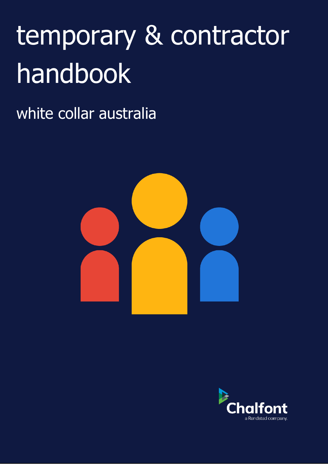# temporary & contractor handbook

white collar australia



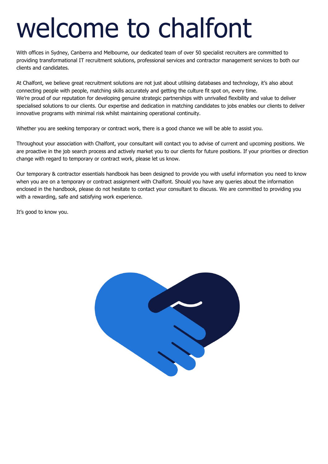## welcome to chalfont

With offices in Sydney, Canberra and Melbourne, our dedicated team of over 50 specialist recruiters are committed to providing transformational IT recruitment solutions, professional services and contractor management services to both our clients and candidates.

At Chalfont, we believe great recruitment solutions are not just about utilising databases and technology, it's also about connecting people with people, matching skills accurately and getting the culture fit spot on, every time. We're proud of our reputation for developing genuine strategic partnerships with unrivalled flexibility and value to deliver specialised solutions to our clients. Our expertise and dedication in matching candidates to jobs enables our clients to deliver innovative programs with minimal risk whilst maintaining operational continuity.

Whether you are seeking temporary or contract work, there is a good chance we will be able to assist you.

Throughout your association with Chalfont, your consultant will contact you to advise of current and upcoming positions. We are proactive in the job search process and actively market you to our clients for future positions. If your priorities or direction change with regard to temporary or contract work, please let us know.

Our temporary & contractor essentials handbook has been designed to provide you with useful information you need to know when you are on a temporary or contract assignment with Chalfont. Should you have any queries about the information enclosed in the handbook, please do not hesitate to contact your consultant to discuss. We are committed to providing you with a rewarding, safe and satisfying work experience.

It's good to know you.

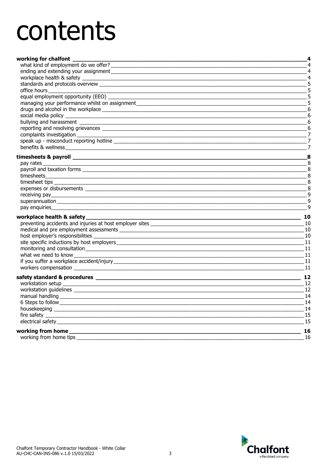## contents

| working for chalfont                                                                                                                                                                                                                 | 4               |
|--------------------------------------------------------------------------------------------------------------------------------------------------------------------------------------------------------------------------------------|-----------------|
| what kind of employment do we offer?                                                                                                                                                                                                 | $\overline{4}$  |
|                                                                                                                                                                                                                                      | 4               |
|                                                                                                                                                                                                                                      | $\overline{4}$  |
|                                                                                                                                                                                                                                      | 5               |
| office hours and the state of the state of the state of the state of the state of the state of the state of the state of the state of the state of the state of the state of the state of the state of the state of the state        | 5               |
| equal employment opportunity (EEO) __                                                                                                                                                                                                | 5               |
| managing your performance whilst on assignment                                                                                                                                                                                       | 5               |
|                                                                                                                                                                                                                                      | 6               |
|                                                                                                                                                                                                                                      | $6\phantom{1}6$ |
| bullying and harassment bullying and harassment                                                                                                                                                                                      | 6               |
|                                                                                                                                                                                                                                      | 6               |
| complaints investigation<br><u> 1989 - Johann John Stein, markin fizikar (</u>                                                                                                                                                       | 7               |
|                                                                                                                                                                                                                                      | 7               |
| benefits & wellness<br><u> 1989 - Johann Stein, marwolaethau a bhann an t-Amhain an t-Amhain an t-Amhain an t-Amhain an t-Amhain an t-A</u>                                                                                          | $\overline{7}$  |
|                                                                                                                                                                                                                                      | 8               |
| pay rates                                                                                                                                                                                                                            | 8               |
|                                                                                                                                                                                                                                      | 8               |
|                                                                                                                                                                                                                                      | 8               |
|                                                                                                                                                                                                                                      | 8               |
|                                                                                                                                                                                                                                      | 8               |
|                                                                                                                                                                                                                                      | $\overline{9}$  |
|                                                                                                                                                                                                                                      | 9               |
| pay enquiries                                                                                                                                                                                                                        | 9               |
| workplace health & safety_                                                                                                                                                                                                           | 10              |
|                                                                                                                                                                                                                                      | 10              |
|                                                                                                                                                                                                                                      | 10              |
|                                                                                                                                                                                                                                      | 10              |
|                                                                                                                                                                                                                                      | 11              |
|                                                                                                                                                                                                                                      | -11             |
| what we need to know                                                                                                                                                                                                                 | 11              |
|                                                                                                                                                                                                                                      | 11              |
| workers compensation experience and a series of the series of the series of the series of the series of the series of the series of the series of the series of the series of the series of the series of the series of the se       | 11              |
|                                                                                                                                                                                                                                      | 12              |
|                                                                                                                                                                                                                                      | 12              |
|                                                                                                                                                                                                                                      | 12              |
|                                                                                                                                                                                                                                      | 14              |
|                                                                                                                                                                                                                                      | 14              |
| housekeeping                                                                                                                                                                                                                         | 14              |
|                                                                                                                                                                                                                                      | 15              |
|                                                                                                                                                                                                                                      | 15              |
| working from home <b>with the contract of the contract of the contract of the contract of the contract of the contract of the contract of the contract of the contract of the contract of the contract of the contract of the co</b> | 16              |
|                                                                                                                                                                                                                                      | 16              |
|                                                                                                                                                                                                                                      |                 |

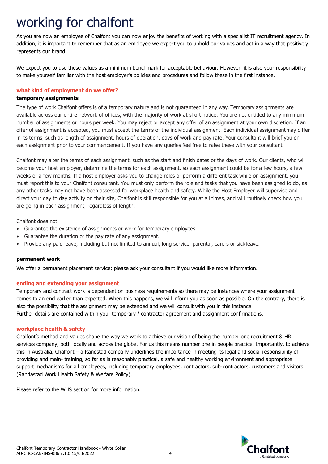## <span id="page-3-0"></span>working for chalfont

As you are now an employee of Chalfont you can now enjoy the benefits of working with a specialist IT recruitment agency. In addition, it is important to remember that as an employee we expect you to uphold our values and act in a way that positively represents our brand.

We expect you to use these values as a minimum benchmark for acceptable behaviour. However, it is also your responsibility to make yourself familiar with the host employer's policies and procedures and follow these in the first instance.

#### <span id="page-3-1"></span>**what kind of employment do we offer?**

#### **temporary assignments**

The type of work Chalfont offers is of a temporary nature and is not guaranteed in any way. Temporary assignments are available across our entire network of offices, with the majority of work at short notice. You are not entitled to any minimum number of assignments or hours per week. You may reject or accept any offer of an assignment at your own discretion. If an offer of assignment is accepted, you must accept the terms of the individual assignment. Each individual assignmentmay differ in its terms, such as length of assignment, hours of operation, days of work and pay rate. Your consultant will brief you on each assignment prior to your commencement. If you have any queries feel free to raise these with your consultant.

Chalfont may alter the terms of each assignment, such as the start and finish dates or the days of work. Our clients, who will become your host employer, determine the terms for each assignment, so each assignment could be for a few hours, a few weeks or a few months. If a host employer asks you to change roles or perform a different task while on assignment, you must report this to your Chalfont consultant. You must only perform the role and tasks that you have been assigned to do, as any other tasks may not have been assessed for workplace health and safety. While the Host Employer will supervise and direct your day to day activity on their site, Chalfont is still responsible for you at all times, and will routinely check how you are going in each assignment, regardless of length.

Chalfont does not:

- Guarantee the existence of assignments or work for temporary employees.
- Guarantee the duration or the pay rate of any assignment.
- Provide any paid leave, including but not limited to annual, long service, parental, carers or sick leave.

#### **permanent work**

We offer a permanent placement service; please ask your consultant if you would like more information.

#### <span id="page-3-2"></span>**ending and extending your assignment**

Temporary and contract work is dependent on business requirements so there may be instances where your assignment comes to an end earlier than expected. When this happens, we will inform you as soon as possible. On the contrary, there is also the possibility that the assignment may be extended and we will consult with you in this instance Further details are contained within your temporary / contractor agreement and assignment confirmations.

#### <span id="page-3-3"></span>**workplace health & safety**

Chalfont's method and values shape the way we work to achieve our vision of being the number one recruitment & HR services company, both locally and across the globe. For us this means number one in people practice. Importantly, to achieve this in Australia, Chalfont – a Randstad company underlines the importance in meeting its legal and social responsibility of providing and main- training, so far as is reasonably practical, a safe and healthy working environment and appropriate support mechanisms for all employees, including temporary employees, contractors, sub-contractors, customers and visitors (Randastad Work Health Safety & Welfare Policy).

Please refer to the WHS section for more information.

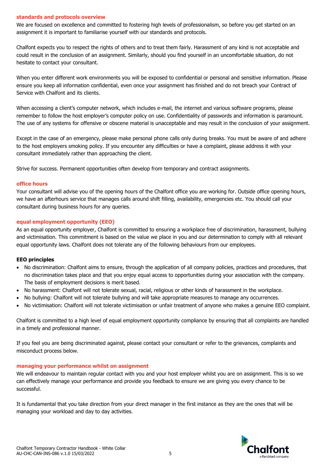#### <span id="page-4-0"></span>**standards and protocols overview**

We are focused on excellence and committed to fostering high levels of professionalism, so before you get started on an assignment it is important to familiarise yourself with our standards and protocols.

Chalfont expects you to respect the rights of others and to treat them fairly. Harassment of any kind is not acceptable and could result in the conclusion of an assignment. Similarly, should you find yourself in an uncomfortable situation, do not hesitate to contact your consultant.

When you enter different work environments you will be exposed to confidential or personal and sensitive information. Please ensure you keep all information confidential, even once your assignment has finished and do not breach your Contract of Service with Chalfont and its clients.

When accessing a client's computer network, which includes e-mail, the internet and various software programs, please remember to follow the host employer's computer policy on use. Confidentiality of passwords and information is paramount. The use of any systems for offensive or obscene material is unacceptable and may result in the conclusion of your assignment.

Except in the case of an emergency, please make personal phone calls only during breaks. You must be aware of and adhere to the host employers smoking policy. If you encounter any difficulties or have a complaint, please address it with your consultant immediately rather than approaching the client.

Strive for success. Permanent opportunities often develop from temporary and contract assignments.

#### <span id="page-4-1"></span>**office hours**

Your consultant will advise you of the opening hours of the Chalfont office you are working for. Outside office opening hours, we have an afterhours service that manages calls around shift filling, availability, emergencies etc. You should call your consultant during business hours for any queries.

#### <span id="page-4-2"></span>**equal employment opportunity (EEO)**

As an equal opportunity employer, Chalfont is committed to ensuring a workplace free of discrimination, harassment, bullying and victimisation. This commitment is based on the value we place in you and our determination to comply with all relevant equal opportunity laws. Chalfont does not tolerate any of the following behaviours from our employees.

#### **EEO principles**

- No discrimination: Chalfont aims to ensure, through the application of all company policies, practices and procedures, that no discrimination takes place and that you enjoy equal access to opportunities during your association with the company. The basis of employment decisions is merit based.
- No harassment: Chalfont will not tolerate sexual, racial, religious or other kinds of harassment in the workplace.
- No bullying: Chalfont will not tolerate bullying and will take appropriate measures to manage any occurrences.
- No victimisation: Chalfont will not tolerate victimisation or unfair treatment of anyone who makes a genuine EEO complaint.

Chalfont is committed to a high level of equal employment opportunity compliance by ensuring that all complaints are handled in a timely and professional manner.

If you feel you are being discriminated against, please contact your consultant or refer to the grievances, complaints and misconduct process below.

#### <span id="page-4-3"></span>**managing your performance whilst on assignment**

We will endeavour to maintain regular contact with you and your host employer whilst you are on assignment. This is so we can effectively manage your performance and provide you feedback to ensure we are giving you every chance to be successful.

It is fundamental that you take direction from your direct manager in the first instance as they are the ones that will be managing your workload and day to day activities.

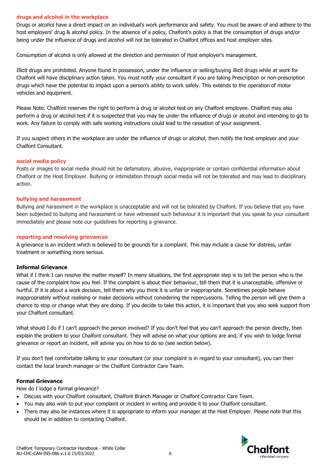#### <span id="page-5-0"></span>**drugs and alcohol in the workplace**

Drugs or alcohol have a direct impact on an individual's work performance and safety. You must be aware of and adhere to the host employers' drug & alcohol policy. In the absence of a policy, Chalfont's policy is that the consumption of drugs and/or being under the influence of drugs and alcohol will not be tolerated in Chalfont offices and host employer sites.

Consumption of alcohol is only allowed at the direction and permission of Host employer's management.

Illicit drugs are prohibited. Anyone found in possession, under the influence or selling/buying illicit drugs while at work for Chalfont will have disciplinary action taken. You must notify your consultant if you are taking Prescription or non-prescription drugs which have the potential to impact upon a person's ability to work safely. This extends to the operation of motor vehicles and equipment.

Please Note: Chalfont reserves the right to perform a drug or alcohol test on any Chalfont employee. Chalfont may also perform a drug or alcohol test if it is suspected that you may be under the influence of drugs or alcohol and intending to go to work. Any failure to comply with safe working instructions could lead to the cessation of your assignment.

If you suspect others in the workplace are under the influence of drugs or alcohol, then notify the host employer and your Chalfont Consultant.

#### <span id="page-5-1"></span>**social media policy**

Posts or images to social media should not be defamatory, abusive, inappropriate or contain confidential information about Chalfont or the Host Employer. Bullying or intimidation through social media will not be tolerated and may lead to disciplinary action.

#### <span id="page-5-2"></span>**bullying and harassment**

Bullying and harassment in the workplace is unacceptable and will not be tolerated by Chalfont. If you believe that you have been subjected to bullying and harassment or have witnessed such behaviour it is important that you speak to your consultant immediately and please note our guidelines for reporting a grievance.

#### <span id="page-5-3"></span>**reporting and resolving grievances**

A grievance is an incident which is believed to be grounds for a complaint. This may include a cause for distress, unfair treatment or something more serious.

#### **Informal Grievance**

What if I think I can resolve the matter myself? In many situations, the first appropriate step is to tell the person who is the cause of the complaint how you feel. If the complaint is about their behaviour, tell them that it is unacceptable, offensive or hurtful. If it is about a work decision, tell them why you think it is unfair or inappropriate. Sometimes people behave inappropriately without realising or make decisions without considering the repercussions. Telling the person will give them a chance to stop or change what they are doing. If you decide to take this action, it is important that you also seek support from your Chalfont consultant.

What should I do if I can't approach the person involved? If you don't feel that you can't approach the person directly, then explain the problem to your Chalfont consultant. They will advise on what your options are and, if you wish to lodge formal grievance or report an incident, will advise you on how to do so (see section below).

If you don't feel comfortable talking to your consultant (or your complaint is in regard to your consultant), you can then contact the local branch manager or the Chalfont Contractor Care Team.

#### **Formal Grievance**

How do I lodge a formal grievance?

- Discuss with your Chalfont consultant, Chalfont Branch Manager or Chalfont Contractor Care Team.
- You may also wish to put your complaint or incident in writing and provide it to your Chalfont consultant.
- There may also be instances where it is appropriate to inform your manager at the Host Employer. Please note that this should be in addition to contacting Chalfont.

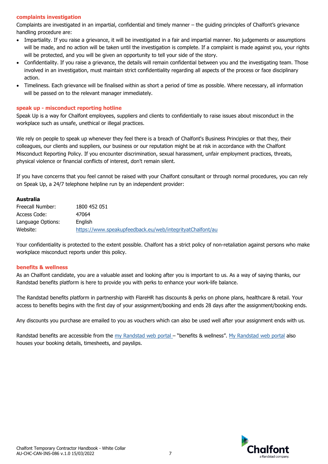#### <span id="page-6-0"></span>**complaints investigation**

Complaints are investigated in an impartial, confidential and timely manner – the guiding principles of Chalfont's grievance handling procedure are:

- Impartiality. If you raise a grievance, it will be investigated in a fair and impartial manner. No judgements or assumptions will be made, and no action will be taken until the investigation is complete. If a complaint is made against you, your rights will be protected, and you will be given an opportunity to tell your side of the story.
- Confidentiality. If you raise a grievance, the details will remain confidential between you and the investigating team. Those involved in an investigation, must maintain strict confidentiality regarding all aspects of the process or face disciplinary action.
- Timeliness. Each grievance will be finalised within as short a period of time as possible. Where necessary, all information will be passed on to the relevant manager immediately.

#### <span id="page-6-1"></span>**speak up - misconduct reporting hotline**

Speak Up is a way for Chalfont employees, suppliers and clients to confidentially to raise issues about misconduct in the workplace such as unsafe, unethical or illegal practices.

We rely on people to speak up whenever they feel there is a breach of Chalfont's Business Principles or that they, their colleagues, our clients and suppliers, our business or our reputation might be at risk in accordance with the Chalfont Misconduct Reporting Policy. If you encounter discrimination, sexual harassment, unfair employment practices, threats, physical violence or financial conflicts of interest, don't remain silent.

If you have concerns that you feel cannot be raised with your Chalfont consultant or through normal procedures, you can rely on Speak Up, a 24/7 telephone helpline run by an independent provider:

#### **Australia**

| Freecall Number:  | 1800 452 051                                              |
|-------------------|-----------------------------------------------------------|
| Access Code:      | 47064                                                     |
| Language Options: | Enalish                                                   |
| Website:          | https://www.speakupfeedback.eu/web/integrityatChalfont/au |

Your confidentiality is protected to the extent possible. Chalfont has a strict policy of non-retaliation against persons who make workplace misconduct reports under this policy.

#### <span id="page-6-2"></span>**benefits & wellness**

As an Chalfont candidate, you are a valuable asset and looking after you is important to us. As a way of saying thanks, our Randstad benefits platform is here to provide you with perks to enhance your work-life balance.

The Randstad benefits platform in partnership with FlareHR has discounts & perks on phone plans, healthcare & retail. Your access to benefits begins with the first day of your assignment/booking and ends 28 days after the assignment/booking ends.

Any discounts you purchase are emailed to you as vouchers which can also be used well after your assignment ends with us.

Randstad benefits are accessible from the [my Randstad web portal](https://my.randstad.com.au/#/login) – "benefits & wellness". [My Randstad web portal](https://my.randstad.com.au/#/login) also houses your booking details, timesheets, and payslips.

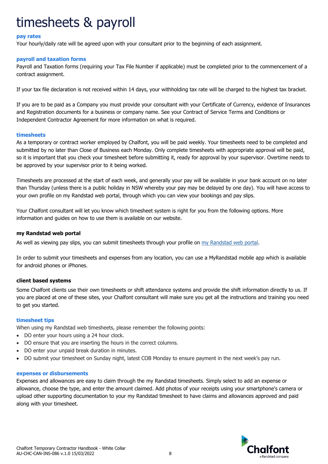## <span id="page-7-0"></span>timesheets & payroll

#### <span id="page-7-1"></span>**pay rates**

Your hourly/daily rate will be agreed upon with your consultant prior to the beginning of each assignment.

#### <span id="page-7-2"></span>**payroll and taxation forms**

Payroll and Taxation forms (requiring your Tax File Number if applicable) must be completed prior to the commencement of a contract assignment.

If your tax file declaration is not received within 14 days, your withholding tax rate will be charged to the highest tax bracket.

If you are to be paid as a Company you must provide your consultant with your Certificate of Currency, evidence of Insurances and Registration documents for a business or company name. See your Contract of Service Terms and Conditions or Independent Contractor Agreement for more information on what is required.

#### <span id="page-7-3"></span>**timesheets**

As a temporary or contract worker employed by Chalfont, you will be paid weekly. Your timesheets need to be completed and submitted by no later than Close of Business each Monday. Only complete timesheets with appropriate approval will be paid, so it is important that you check your timesheet before submitting it, ready for approval by your supervisor. Overtime needs to be approved by your supervisor prior to it being worked.

Timesheets are processed at the start of each week, and generally your pay will be available in your bank account on no later than Thursday (unless there is a public holiday in NSW whereby your pay may be delayed by one day). You will have access to your own profile on my Randstad web portal, through which you can view your bookings and pay slips.

Your Chalfont consultant will let you know which timesheet system is right for you from the following options. More information and guides on how to use them is available on our website.

#### **my Randstad web portal**

As well as viewing pay slips, you can submit timesheets through your profile on [my Randstad web portal](https://my.randstad.com.au/).

In order to submit your timesheets and expenses from any location, you can use a MyRandstad mobile app which is available for android phones or iPhones.

#### **client based systems**

Some Chalfont clients use their own timesheets or shift attendance systems and provide the shift information directly to us. If you are placed at one of these sites, your Chalfont consultant will make sure you get all the instructions and training you need to get you started.

#### <span id="page-7-4"></span>**timesheet tips**

When using my Randstad web timesheets, please remember the following points:

- DO enter your hours using a 24 hour clock.
- DO ensure that you are inserting the hours in the correct columns.
- DO enter your unpaid break duration in minutes.
- DO submit your timesheet on Sunday night, latest COB Monday to ensure payment in the next week's pay run.

#### <span id="page-7-5"></span>**expenses or disbursements**

<span id="page-7-6"></span>Expenses and allowances are easy to claim through the my Randstad timesheets. Simply select to add an expense or allowance, choose the type, and enter the amount claimed. Add photos of your receipts using your smartphone's camera or upload other supporting documentation to your my Randstad timesheet to have claims and allowances approved and paid along with your timesheet.

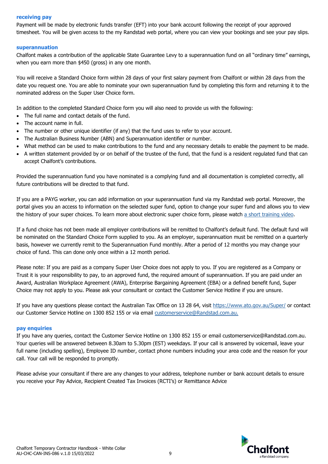#### **receiving pay**

Payment will be made by electronic funds transfer (EFT) into your bank account following the receipt of your approved timesheet. You will be given access to the my Randstad web portal, where you can view your bookings and see your pay slips.

#### <span id="page-8-0"></span>**superannuation**

Chalfont makes a contribution of the applicable State Guarantee Levy to a superannuation fund on all "ordinary time" earnings, when you earn more than \$450 (gross) in any one month.

You will receive a Standard Choice form within 28 days of your first salary payment from Chalfont or within 28 days from the date you request one. You are able to nominate your own superannuation fund by completing this form and returning it to the nominated address on the Super User Choice form.

In addition to the completed Standard Choice form you will also need to provide us with the following:

- The full name and contact details of the fund.
- The account name in full.
- The number or other unique identifier (if any) that the fund uses to refer to your account.
- The Australian Business Number (ABN) and Superannuation identifier or number.
- What method can be used to make contributions to the fund and any necessary details to enable the payment to be made.
- A written statement provided by or on behalf of the trustee of the fund, that the fund is a resident regulated fund that can accept Chalfont's contributions.

Provided the superannuation fund you have nominated is a complying fund and all documentation is completed correctly, all future contributions will be directed to that fund.

If you are a PAYG worker, you can add information on your superannuation fund via my Randstad web portal. Moreover, the portal gives you an access to information on the selected super fund, option to change your super fund and allows you to view the history of your super choices. To learn more about electronic super choice form, please watch [a short training video.](https://youtu.be/uBf8kGPqmQs)

If a fund choice has not been made all employer contributions will be remitted to Chalfont's default fund. The default fund will be nominated on the Standard Choice Form supplied to you. As an employer, superannuation must be remitted on a quarterly basis, however we currently remit to the Superannuation Fund monthly. After a period of 12 months you may change your choice of fund. This can done only once within a 12 month period.

Please note: If you are paid as a company Super User Choice does not apply to you. If you are registered as a Company or Trust it is your responsibility to pay, to an approved fund, the required amount of superannuation. If you are paid under an Award, Australian Workplace Agreement (AWA), Enterprise Bargaining Agreement (EBA) or a defined benefit fund, Super Choice may not apply to you. Please ask your consultant or contact the Customer Service Hotline if you are unsure.

If you have any questions please contact the Australian Tax Office on 13 28 64, visit<https://www.ato.gov.au/Super/> or contact our Customer Service Hotline on 1300 852 155 or via email [customerservice@Randstad.com.au.](mailto:customerservice@Randstad.com.au.)

#### <span id="page-8-1"></span>**pay enquiries**

If you have any queries, contact the Customer Service Hotline on 1300 852 155 or email customerservice@Randstad.com.au. Your queries will be answered between 8.30am to 5.30pm (EST) weekdays. If your call is answered by voicemail, leave your full name (including spelling), Employee ID number, contact phone numbers including your area code and the reason for your call. Your call will be responded to promptly.

Please advise your consultant if there are any changes to your address, telephone number or bank account details to ensure you receive your Pay Advice, Recipient Created Tax Invoices (RCTI's) or Remittance Advice

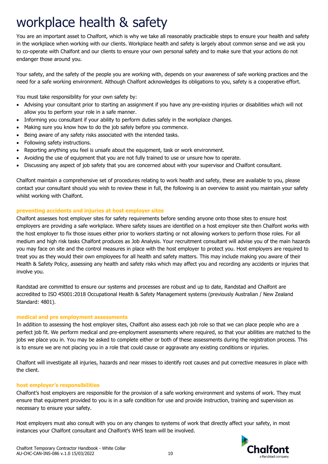### <span id="page-9-0"></span>workplace health & safety

You are an important asset to Chalfont, which is why we take all reasonably practicable steps to ensure your health and safety in the workplace when working with our clients. Workplace health and safety is largely about common sense and we ask you to co-operate with Chalfont and our clients to ensure your own personal safety and to make sure that your actions do not endanger those around you.

Your safety, and the safety of the people you are working with, depends on your awareness of safe working practices and the need for a safe working environment. Although Chalfont acknowledges its obligations to you, safety is a cooperative effort.

You must take responsibility for your own safety by:

- Advising your consultant prior to starting an assignment if you have any pre-existing injuries or disabilities which will not allow you to perform your role in a safe manner.
- Informing you consultant if your ability to perform duties safely in the workplace changes.
- Making sure you know how to do the job safely before you commence.
- Being aware of any safety risks associated with the intended tasks.
- Following safety instructions.
- Reporting anything you feel is unsafe about the equipment, task or work environment.
- Avoiding the use of equipment that you are not fully trained to use or unsure how to operate.
- Discussing any aspect of job safety that you are concerned about with your supervisor and Chalfont consultant.

Chalfont maintain a comprehensive set of procedures relating to work health and safety, these are available to you, please contact your consultant should you wish to review these in full, the following is an overview to assist you maintain your safety whilst working with Chalfont.

#### <span id="page-9-1"></span>**preventing accidents and injuries at host employer sites**

Chalfont assesses host employer sites for safety requirements before sending anyone onto those sites to ensure host employers are providing a safe workplace. Where safety issues are identified on a host employer site then Chalfont works with the host employer to fix those issues either prior to workers starting or not allowing workers to perform those roles. For all medium and high risk tasks Chalfont produces as Job Analysis. Your recruitment consultant will advise you of the main hazards you may face on site and the control measures in place with the host employer to protect you. Host employers are required to treat you as they would their own employees for all health and safety matters. This may include making you aware of their Health & Safety Policy, assessing any health and safety risks which may affect you and recording any accidents or injuries that involve you.

Randstad are committed to ensure our systems and processes are robust and up to date, Randstad and Chalfont are accredited to ISO 45001:2018 Occupational Health & Safety Management systems (previously Australian / New Zealand Standard: 4801).

#### <span id="page-9-2"></span>**medical and pre employment assessments**

In addition to assessing the host employer sites, Chalfont also assess each job role so that we can place people who are a perfect job fit. We perform medical and pre-employment assessments where required, so that your abilities are matched to the jobs we place you in. You may be asked to complete either or both of these assessments during the registration process. This is to ensure we are not placing you in a role that could cause or aggravate any existing conditions or injuries.

Chalfont will investigate all injuries, hazards and near misses to identify root causes and put corrective measures in place with the client.

#### <span id="page-9-3"></span>**host employer's responsibilities**

Chalfont's host employers are responsible for the provision of a safe working environment and systems of work. They must ensure that equipment provided to you is in a safe condition for use and provide instruction, training and supervision as necessary to ensure your safety.

Host employers must also consult with you on any changes to systems of work that directly affect your safety, in most instances your Chalfont consultant and Chalfont's WHS team will be involved.

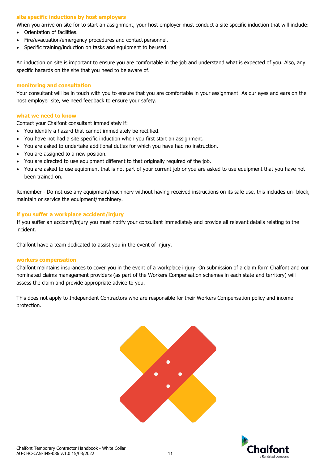#### <span id="page-10-0"></span>**site specific inductions by host employers**

When you arrive on site for to start an assignment, your host employer must conduct a site specific induction that will include:

- Orientation of facilities.
- Fire/evacuation/emergency procedures and contact personnel.
- Specific training/induction on tasks and equipment to be used.

An induction on site is important to ensure you are comfortable in the job and understand what is expected of you. Also, any specific hazards on the site that you need to be aware of.

#### <span id="page-10-1"></span>**monitoring and consultation**

Your consultant will be in touch with you to ensure that you are comfortable in your assignment. As our eyes and ears on the host employer site, we need feedback to ensure your safety.

#### <span id="page-10-2"></span>**what we need to know**

Contact your Chalfont consultant immediately if:

- You identify a hazard that cannot immediately be rectified.
- You have not had a site specific induction when you first start an assignment.
- You are asked to undertake additional duties for which you have had no instruction.
- You are assigned to a new position.
- You are directed to use equipment different to that originally required of the job.
- You are asked to use equipment that is not part of your current job or you are asked to use equipment that you have not been trained on.

Remember - Do not use any equipment/machinery without having received instructions on its safe use, this includes un- block, maintain or service the equipment/machinery.

#### <span id="page-10-3"></span>**if you suffer a workplace accident/injury**

If you suffer an accident/injury you must notify your consultant immediately and provide all relevant details relating to the incident.

Chalfont have a team dedicated to assist you in the event of injury.

#### <span id="page-10-4"></span>**workers compensation**

Chalfont maintains insurances to cover you in the event of a workplace injury. On submission of a claim form Chalfont and our nominated claims management providers (as part of the Workers Compensation schemes in each state and territory) will assess the claim and provide appropriate advice to you.

This does not apply to Independent Contractors who are responsible for their Workers Compensation policy and income protection.



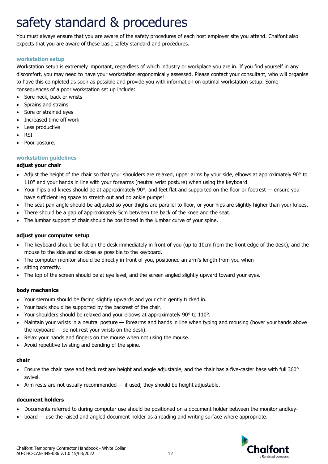## <span id="page-11-0"></span>safety standard & procedures

You must always ensure that you are aware of the safety procedures of each host employer site you attend. Chalfont also expects that you are aware of these basic safety standard and procedures.

#### <span id="page-11-1"></span>**workstation setup**

Workstation setup is extremely important, regardless of which industry or workplace you are in. If you find yourself in any discomfort, you may need to have your workstation ergonomically assessed. Please contact your consultant, who will organise to have this completed as soon as possible and provide you with information on optimal workstation setup. Some consequences of a poor workstation set up include:

- Sore neck, back or wrists
- Sprains and strains
- Sore or strained eyes
- Increased time off work
- Less productive
- RSI
- Poor posture.

#### <span id="page-11-2"></span>**workstation guidelines**

#### **adjust your chair**

- Adjust the height of the chair so that your shoulders are relaxed, upper arms by your side, elbows at approximately 90° to 110° and your hands in line with your forearms (neutral wrist posture) when using the keyboard.
- Your hips and knees should be at approximately 90 $^{\circ}$ , and feet flat and supported on the floor or footrest ensure you have sufficient leg space to stretch out and do ankle pumps!
- The seat pan angle should be adjusted so your thighs are parallel to floor, or your hips are slightly higher than your knees.
- There should be a gap of approximately 5cm between the back of the knee and the seat.
- The lumbar support of chair should be positioned in the lumbar curve of your spine.

#### **adjust your computer setup**

- The keyboard should be flat on the desk immediately in front of you (up to 10cm from the front edge of the desk), and the mouse to the side and as close as possible to the keyboard.
- The computer monitor should be directly in front of you, positioned an arm's length from you when
- sitting correctly.
- The top of the screen should be at eye level, and the screen angled slightly upward toward your eyes.

#### **body mechanics**

- Your sternum should be facing slightly upwards and your chin gently tucked in.
- Your back should be supported by the backrest of the chair.
- Your shoulders should be relaxed and your elbows at approximately 90° to 110°.
- Maintain your wrists in a neutral posture forearms and hands in line when typing and mousing (hover yourhands above the keyboard — do not rest your wrists on the desk).
- Relax your hands and fingers on the mouse when not using the mouse.
- Avoid repetitive twisting and bending of the spine.

#### **chair**

- Ensure the chair base and back rest are height and angle adjustable, and the chair has a five-caster base with full 360° swivel.
- Arm rests are not usually recommended  $-$  if used, they should be height adjustable.

#### **document holders**

- Documents referred to during computer use should be positioned on a document holder between the monitor andkey-
- board use the raised and angled document holder as a reading and writing surface where appropriate.

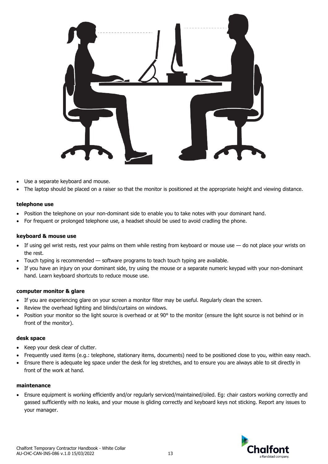

- Use a separate keyboard and mouse.
- The laptop should be placed on a raiser so that the monitor is positioned at the appropriate height and viewing distance.

#### **telephone use**

- Position the telephone on your non-dominant side to enable you to take notes with your dominant hand.
- For frequent or prolonged telephone use, a headset should be used to avoid cradling the phone.

#### **keyboard & mouse use**

- If using gel wrist rests, rest your palms on them while resting from keyboard or mouse use do not place your wrists on the rest.
- Touch typing is recommended software programs to teach touch typing are available.
- If you have an injury on your dominant side, try using the mouse or a separate numeric keypad with your non-dominant hand. Learn keyboard shortcuts to reduce mouse use.

#### **computer monitor & glare**

- If you are experiencing glare on your screen a monitor filter may be useful. Regularly clean the screen.
- Review the overhead lighting and blinds/curtains on windows.
- Position your monitor so the light source is overhead or at 90° to the monitor (ensure the light source is not behind or in front of the monitor).

#### **desk space**

- Keep your desk clear of clutter.
- Frequently used items (e.g.: telephone, stationary items, documents) need to be positioned close to you, within easy reach.
- Ensure there is adequate leg space under the desk for leg stretches, and to ensure you are always able to sit directly in front of the work at hand.

#### **maintenance**

• Ensure equipment is working efficiently and/or regularly serviced/maintained/oiled. Eg: chair castors working correctly and gassed sufficiently with no leaks, and your mouse is gliding correctly and keyboard keys not sticking. Report any issues to your manager.

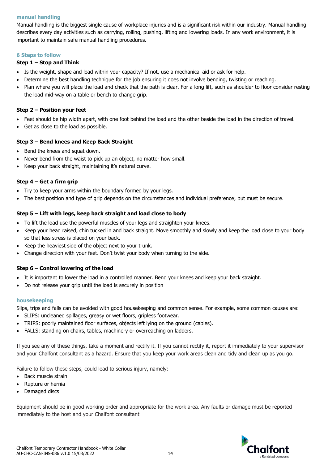#### <span id="page-13-0"></span>**manual handling**

Manual handling is the biggest single cause of workplace injuries and is a significant risk within our industry. Manual handling describes every day activities such as carrying, rolling, pushing, lifting and lowering loads. In any work environment, it is important to maintain safe manual handling procedures.

#### <span id="page-13-1"></span>**6 Steps to follow**

#### **Step 1 – Stop and Think**

- Is the weight, shape and load within your capacity? If not, use a mechanical aid or ask for help.
- Determine the best handling technique for the job ensuring it does not involve bending, twisting or reaching.
- Plan where you will place the load and check that the path is clear. For a long lift, such as shoulder to floor consider resting the load mid-way on a table or bench to change grip.

#### **Step 2 – Position your feet**

- Feet should be hip width apart, with one foot behind the load and the other beside the load in the direction of travel.
- Get as close to the load as possible.

#### **Step 3 – Bend knees and Keep Back Straight**

- Bend the knees and squat down.
- Never bend from the waist to pick up an object, no matter how small.
- Keep your back straight, maintaining it's natural curve.

#### **Step 4 – Get a firm grip**

- Try to keep your arms within the boundary formed by your legs.
- The best position and type of grip depends on the circumstances and individual preference; but must be secure.

#### **Step 5 – Lift with legs, keep back straight and load close to body**

- To lift the load use the powerful muscles of your legs and straighten your knees.
- Keep your head raised, chin tucked in and back straight. Move smoothly and slowly and keep the load close to your body so that less stress is placed on your back.
- Keep the heaviest side of the object next to your trunk.
- Change direction with your feet. Don't twist your body when turning to the side.

#### **Step 6 – Control lowering of the load**

- It is important to lower the load in a controlled manner. Bend your knees and keep your back straight.
- Do not release your grip until the load is securely in position

#### <span id="page-13-2"></span>**housekeeping**

Slips, trips and falls can be avoided with good housekeeping and common sense. For example, some common causes are:

- SLIPS: uncleaned spillages, greasy or wet floors, gripless footwear.
- TRIPS: poorly maintained floor surfaces, objects left lying on the ground (cables).
- FALLS: standing on chairs, tables, machinery or overreaching on ladders.

If you see any of these things, take a moment and rectify it. If you cannot rectify it, report it immediately to your supervisor and your Chalfont consultant as a hazard. Ensure that you keep your work areas clean and tidy and clean up as you go.

Failure to follow these steps, could lead to serious injury, namely:

- Back muscle strain
- Rupture or hernia
- Damaged discs

Equipment should be in good working order and appropriate for the work area. Any faults or damage must be reported immediately to the host and your Chalfont consultant

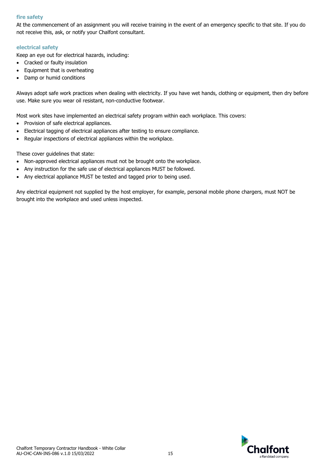#### <span id="page-14-0"></span>**fire safety**

At the commencement of an assignment you will receive training in the event of an emergency specific to that site. If you do not receive this, ask, or notify your Chalfont consultant.

#### <span id="page-14-1"></span>**electrical safety**

Keep an eye out for electrical hazards, including:

- Cracked or faulty insulation
- Equipment that is overheating
- Damp or humid conditions

Always adopt safe work practices when dealing with electricity. If you have wet hands, clothing or equipment, then dry before use. Make sure you wear oil resistant, non-conductive footwear.

Most work sites have implemented an electrical safety program within each workplace. This covers:

- Provision of safe electrical appliances.
- Electrical tagging of electrical appliances after testing to ensure compliance.
- Regular inspections of electrical appliances within the workplace.

These cover guidelines that state:

- Non-approved electrical appliances must not be brought onto the workplace.
- Any instruction for the safe use of electrical appliances MUST be followed.
- Any electrical appliance MUST be tested and tagged prior to being used.

Any electrical equipment not supplied by the host employer, for example, personal mobile phone chargers, must NOT be brought into the workplace and used unless inspected.

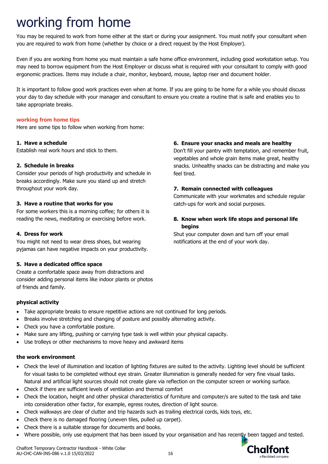## <span id="page-15-0"></span>working from home

You may be required to work from home either at the start or during your assignment. You must notify your consultant when you are required to work from home (whether by choice or a direct request by the Host Employer).

Even if you are working from home you must maintain a safe home office environment, including good workstation setup. You may need to borrow equipment from the Host Employer or discuss what is required with your consultant to comply with good ergonomic practices. Items may include a chair, monitor, keyboard, mouse, laptop riser and document holder.

It is important to follow good work practices even when at home. If you are going to be home for a while you should discuss your day to day schedule with your manager and consultant to ensure you create a routine that is safe and enables you to take appropriate breaks.

#### <span id="page-15-1"></span>**working from home tips**

Here are some tips to follow when working from home:

#### **1. Have a schedule**

Establish real work hours and stick to them.

#### **2. Schedule in breaks**

Consider your periods of high productivity and schedule in breaks accordingly. Make sure you stand up and stretch throughout your work day.

#### **3. Have a routine that works for you**

For some workers this is a morning coffee; for others it is reading the news, meditating or exercising before work.

#### **4. Dress for work**

You might not need to wear dress shoes, but wearing pyjamas can have negative impacts on your productivity.

#### **5. Have a dedicated office space**

Create a comfortable space away from distractions and consider adding personal items like indoor plants or photos of friends and family.

#### **physical activity**

- Take appropriate breaks to ensure repetitive actions are not continued for long periods.
- Breaks involve stretching and changing of posture and possibly alternating activity.
- Check you have a comfortable posture.
- Make sure any lifting, pushing or carrying type task is well within your physical capacity.
- Use trolleys or other mechanisms to move heavy and awkward items

#### **the work environment**

- Check the level of illumination and location of lighting fixtures are suited to the activity. Lighting level should be sufficient for visual tasks to be completed without eye strain. Greater illumination is generally needed for very fine visual tasks. Natural and artificial light sources should not create glare via reflection on the computer screen or working surface.
- Check if there are sufficient levels of ventilation and thermal comfort
- Check the location, height and other physical characteristics of furniture and computer/s are suited to the task and take into consideration other factor, for example, egress routes, direction of light source.
- Check walkways are clear of clutter and trip hazards such as trailing electrical cords, kids toys, etc.
- Check there is no damaged flooring (uneven tiles, pulled up carpet).
- Check there is a suitable storage for documents and books.
- Where possible, only use equipment that has been issued by your organisation and has recently been tagged and tested.

#### Chalfont Temporary Contractor Handbook - White Collar AU-CHC-CAN-INS-086 v.1.0 15/03/2022 16

#### **6. Ensure your snacks and meals are healthy**

Don't fill your pantry with temptation, and remember fruit, vegetables and whole grain items make great, healthy snacks. Unhealthy snacks can be distracting and make you feel tired.

#### **7. Remain connected with colleagues**

Communicate with your workmates and schedule regular catch-ups for work and social purposes.

#### **8. Know when work life stops and personal life begins**

Shut your computer down and turn off your email notifications at the end of your work day.